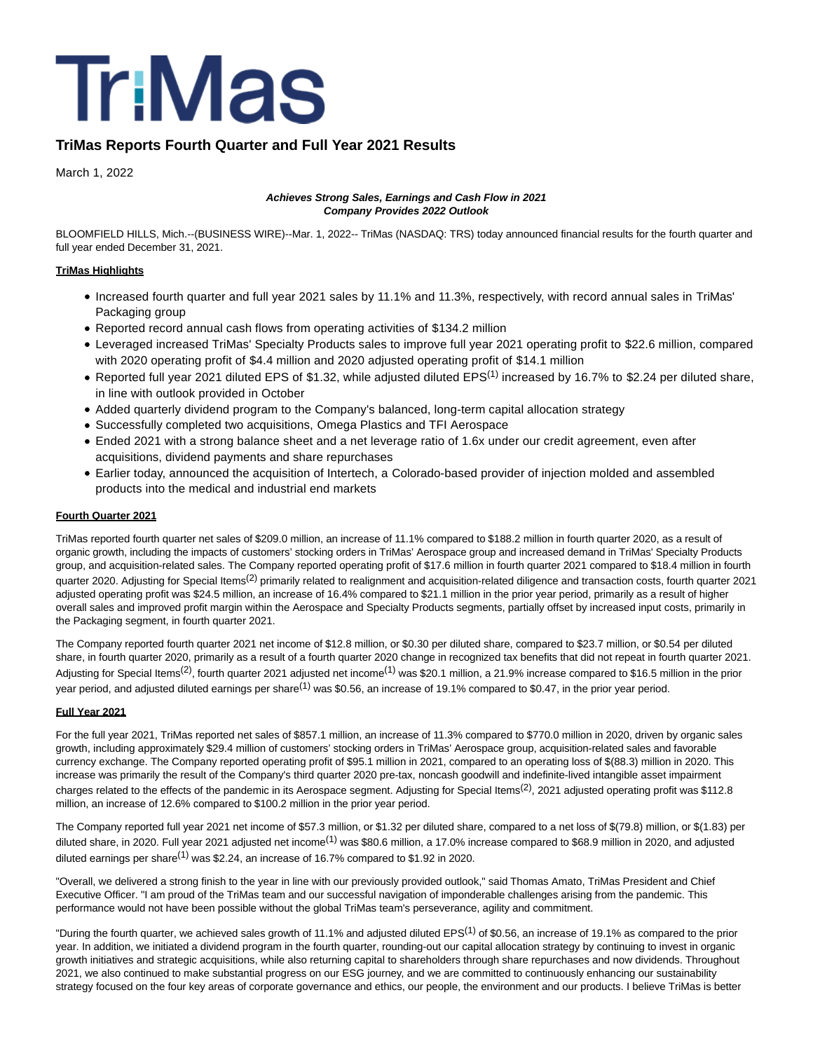

# **TriMas Reports Fourth Quarter and Full Year 2021 Results**

March 1, 2022

### **Achieves Strong Sales, Earnings and Cash Flow in 2021 Company Provides 2022 Outlook**

BLOOMFIELD HILLS, Mich.--(BUSINESS WIRE)--Mar. 1, 2022-- TriMas (NASDAQ: TRS) today announced financial results for the fourth quarter and full year ended December 31, 2021.

## **TriMas Highlights**

- Increased fourth quarter and full year 2021 sales by 11.1% and 11.3%, respectively, with record annual sales in TriMas' Packaging group
- Reported record annual cash flows from operating activities of \$134.2 million
- Leveraged increased TriMas' Specialty Products sales to improve full year 2021 operating profit to \$22.6 million, compared with 2020 operating profit of \$4.4 million and 2020 adjusted operating profit of \$14.1 million
- Reported full year 2021 diluted EPS of \$1.32, while adjusted diluted EPS<sup>(1)</sup> increased by 16.7% to \$2.24 per diluted share, in line with outlook provided in October
- Added quarterly dividend program to the Company's balanced, long-term capital allocation strategy
- Successfully completed two acquisitions, Omega Plastics and TFI Aerospace
- Ended 2021 with a strong balance sheet and a net leverage ratio of 1.6x under our credit agreement, even after acquisitions, dividend payments and share repurchases
- Earlier today, announced the acquisition of Intertech, a Colorado-based provider of injection molded and assembled products into the medical and industrial end markets

### **Fourth Quarter 2021**

TriMas reported fourth quarter net sales of \$209.0 million, an increase of 11.1% compared to \$188.2 million in fourth quarter 2020, as a result of organic growth, including the impacts of customers' stocking orders in TriMas' Aerospace group and increased demand in TriMas' Specialty Products group, and acquisition-related sales. The Company reported operating profit of \$17.6 million in fourth quarter 2021 compared to \$18.4 million in fourth quarter 2020. Adjusting for Special Items<sup>(2)</sup> primarily related to realignment and acquisition-related diligence and transaction costs, fourth quarter 2021 adjusted operating profit was \$24.5 million, an increase of 16.4% compared to \$21.1 million in the prior year period, primarily as a result of higher overall sales and improved profit margin within the Aerospace and Specialty Products segments, partially offset by increased input costs, primarily in the Packaging segment, in fourth quarter 2021.

The Company reported fourth quarter 2021 net income of \$12.8 million, or \$0.30 per diluted share, compared to \$23.7 million, or \$0.54 per diluted share, in fourth quarter 2020, primarily as a result of a fourth quarter 2020 change in recognized tax benefits that did not repeat in fourth quarter 2021. Adjusting for Special Items<sup>(2)</sup>, fourth quarter 2021 adjusted net income<sup>(1)</sup> was \$20.1 million, a 21.9% increase compared to \$16.5 million in the prior year period, and adjusted diluted earnings per share<sup>(1)</sup> was \$0.56, an increase of 19.1% compared to \$0.47, in the prior year period.

## **Full Year 2021**

For the full year 2021, TriMas reported net sales of \$857.1 million, an increase of 11.3% compared to \$770.0 million in 2020, driven by organic sales growth, including approximately \$29.4 million of customers' stocking orders in TriMas' Aerospace group, acquisition-related sales and favorable currency exchange. The Company reported operating profit of \$95.1 million in 2021, compared to an operating loss of \$(88.3) million in 2020. This increase was primarily the result of the Company's third quarter 2020 pre-tax, noncash goodwill and indefinite-lived intangible asset impairment charges related to the effects of the pandemic in its Aerospace segment. Adjusting for Special Items<sup>(2)</sup>, 2021 adjusted operating profit was \$112.8 million, an increase of 12.6% compared to \$100.2 million in the prior year period.

The Company reported full year 2021 net income of \$57.3 million, or \$1.32 per diluted share, compared to a net loss of \$(79.8) million, or \$(1.83) per diluted share, in 2020. Full year 2021 adjusted net income<sup>(1)</sup> was \$80.6 million, a 17.0% increase compared to \$68.9 million in 2020, and adjusted diluted earnings per share<sup>(1)</sup> was \$2.24, an increase of 16.7% compared to \$1.92 in 2020.

"Overall, we delivered a strong finish to the year in line with our previously provided outlook," said Thomas Amato, TriMas President and Chief Executive Officer. "I am proud of the TriMas team and our successful navigation of imponderable challenges arising from the pandemic. This performance would not have been possible without the global TriMas team's perseverance, agility and commitment.

"During the fourth quarter, we achieved sales growth of 11.1% and adjusted diluted EPS<sup>(1)</sup> of \$0.56, an increase of 19.1% as compared to the prior year. In addition, we initiated a dividend program in the fourth quarter, rounding-out our capital allocation strategy by continuing to invest in organic growth initiatives and strategic acquisitions, while also returning capital to shareholders through share repurchases and now dividends. Throughout 2021, we also continued to make substantial progress on our ESG journey, and we are committed to continuously enhancing our sustainability strategy focused on the four key areas of corporate governance and ethics, our people, the environment and our products. I believe TriMas is better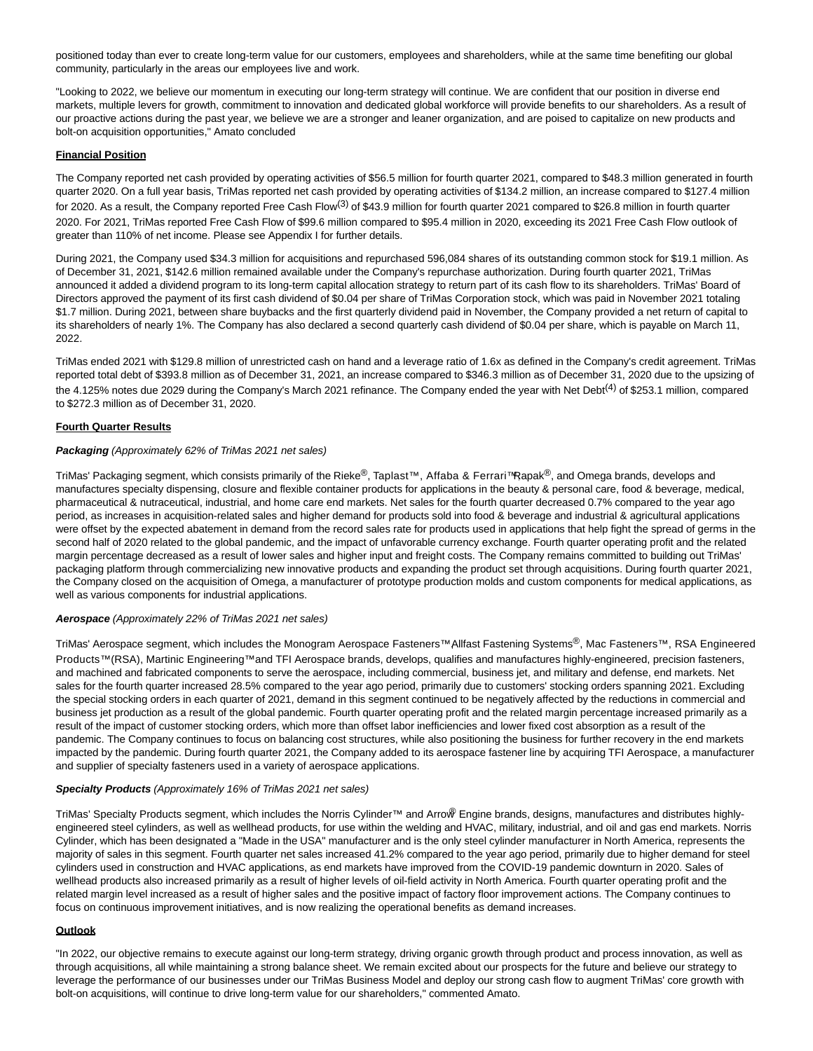positioned today than ever to create long-term value for our customers, employees and shareholders, while at the same time benefiting our global community, particularly in the areas our employees live and work.

"Looking to 2022, we believe our momentum in executing our long-term strategy will continue. We are confident that our position in diverse end markets, multiple levers for growth, commitment to innovation and dedicated global workforce will provide benefits to our shareholders. As a result of our proactive actions during the past year, we believe we are a stronger and leaner organization, and are poised to capitalize on new products and bolt-on acquisition opportunities," Amato concluded

#### **Financial Position**

The Company reported net cash provided by operating activities of \$56.5 million for fourth quarter 2021, compared to \$48.3 million generated in fourth quarter 2020. On a full year basis, TriMas reported net cash provided by operating activities of \$134.2 million, an increase compared to \$127.4 million for 2020. As a result, the Company reported Free Cash Flow<sup>(3)</sup> of \$43.9 million for fourth quarter 2021 compared to \$26.8 million in fourth quarter 2020. For 2021, TriMas reported Free Cash Flow of \$99.6 million compared to \$95.4 million in 2020, exceeding its 2021 Free Cash Flow outlook of greater than 110% of net income. Please see Appendix I for further details.

During 2021, the Company used \$34.3 million for acquisitions and repurchased 596,084 shares of its outstanding common stock for \$19.1 million. As of December 31, 2021, \$142.6 million remained available under the Company's repurchase authorization. During fourth quarter 2021, TriMas announced it added a dividend program to its long-term capital allocation strategy to return part of its cash flow to its shareholders. TriMas' Board of Directors approved the payment of its first cash dividend of \$0.04 per share of TriMas Corporation stock, which was paid in November 2021 totaling \$1.7 million. During 2021, between share buybacks and the first quarterly dividend paid in November, the Company provided a net return of capital to its shareholders of nearly 1%. The Company has also declared a second quarterly cash dividend of \$0.04 per share, which is payable on March 11, 2022.

TriMas ended 2021 with \$129.8 million of unrestricted cash on hand and a leverage ratio of 1.6x as defined in the Company's credit agreement. TriMas reported total debt of \$393.8 million as of December 31, 2021, an increase compared to \$346.3 million as of December 31, 2020 due to the upsizing of the 4.125% notes due 2029 during the Company's March 2021 refinance. The Company ended the year with Net Debt<sup>(4)</sup> of \$253.1 million, compared to \$272.3 million as of December 31, 2020.

#### **Fourth Quarter Results**

#### **Packaging** (Approximately 62% of TriMas 2021 net sales)

TriMas' Packaging segment, which consists primarily of the Rieke®, Taplast™, Affaba & Ferrari™Rapak®, and Omega brands, develops and manufactures specialty dispensing, closure and flexible container products for applications in the beauty & personal care, food & beverage, medical, pharmaceutical & nutraceutical, industrial, and home care end markets. Net sales for the fourth quarter decreased 0.7% compared to the year ago period, as increases in acquisition-related sales and higher demand for products sold into food & beverage and industrial & agricultural applications were offset by the expected abatement in demand from the record sales rate for products used in applications that help fight the spread of germs in the second half of 2020 related to the global pandemic, and the impact of unfavorable currency exchange. Fourth quarter operating profit and the related margin percentage decreased as a result of lower sales and higher input and freight costs. The Company remains committed to building out TriMas' packaging platform through commercializing new innovative products and expanding the product set through acquisitions. During fourth quarter 2021, the Company closed on the acquisition of Omega, a manufacturer of prototype production molds and custom components for medical applications, as well as various components for industrial applications.

#### **Aerospace** (Approximately 22% of TriMas 2021 net sales)

TriMas' Aerospace segment, which includes the Monogram Aerospace Fasteners™ Allfast Fastening Systems<sup>®</sup>, Mac Fasteners™, RSA Engineered Products™(RSA), Martinic Engineering™and TFI Aerospace brands, develops, qualifies and manufactures highly-engineered, precision fasteners, and machined and fabricated components to serve the aerospace, including commercial, business jet, and military and defense, end markets. Net sales for the fourth quarter increased 28.5% compared to the year ago period, primarily due to customers' stocking orders spanning 2021. Excluding the special stocking orders in each quarter of 2021, demand in this segment continued to be negatively affected by the reductions in commercial and business jet production as a result of the global pandemic. Fourth quarter operating profit and the related margin percentage increased primarily as a result of the impact of customer stocking orders, which more than offset labor inefficiencies and lower fixed cost absorption as a result of the pandemic. The Company continues to focus on balancing cost structures, while also positioning the business for further recovery in the end markets impacted by the pandemic. During fourth quarter 2021, the Company added to its aerospace fastener line by acquiring TFI Aerospace, a manufacturer and supplier of specialty fasteners used in a variety of aerospace applications.

### **Specialty Products** (Approximately 16% of TriMas 2021 net sales)

TriMas' Specialty Products segment, which includes the Norris Cylinder™ and Arrow® Engine brands, designs, manufactures and distributes highlyengineered steel cylinders, as well as wellhead products, for use within the welding and HVAC, military, industrial, and oil and gas end markets. Norris Cylinder, which has been designated a "Made in the USA" manufacturer and is the only steel cylinder manufacturer in North America, represents the majority of sales in this segment. Fourth quarter net sales increased 41.2% compared to the year ago period, primarily due to higher demand for steel cylinders used in construction and HVAC applications, as end markets have improved from the COVID-19 pandemic downturn in 2020. Sales of wellhead products also increased primarily as a result of higher levels of oil-field activity in North America. Fourth quarter operating profit and the related margin level increased as a result of higher sales and the positive impact of factory floor improvement actions. The Company continues to focus on continuous improvement initiatives, and is now realizing the operational benefits as demand increases.

#### **Outlook**

"In 2022, our objective remains to execute against our long-term strategy, driving organic growth through product and process innovation, as well as through acquisitions, all while maintaining a strong balance sheet. We remain excited about our prospects for the future and believe our strategy to leverage the performance of our businesses under our TriMas Business Model and deploy our strong cash flow to augment TriMas' core growth with bolt-on acquisitions, will continue to drive long-term value for our shareholders," commented Amato.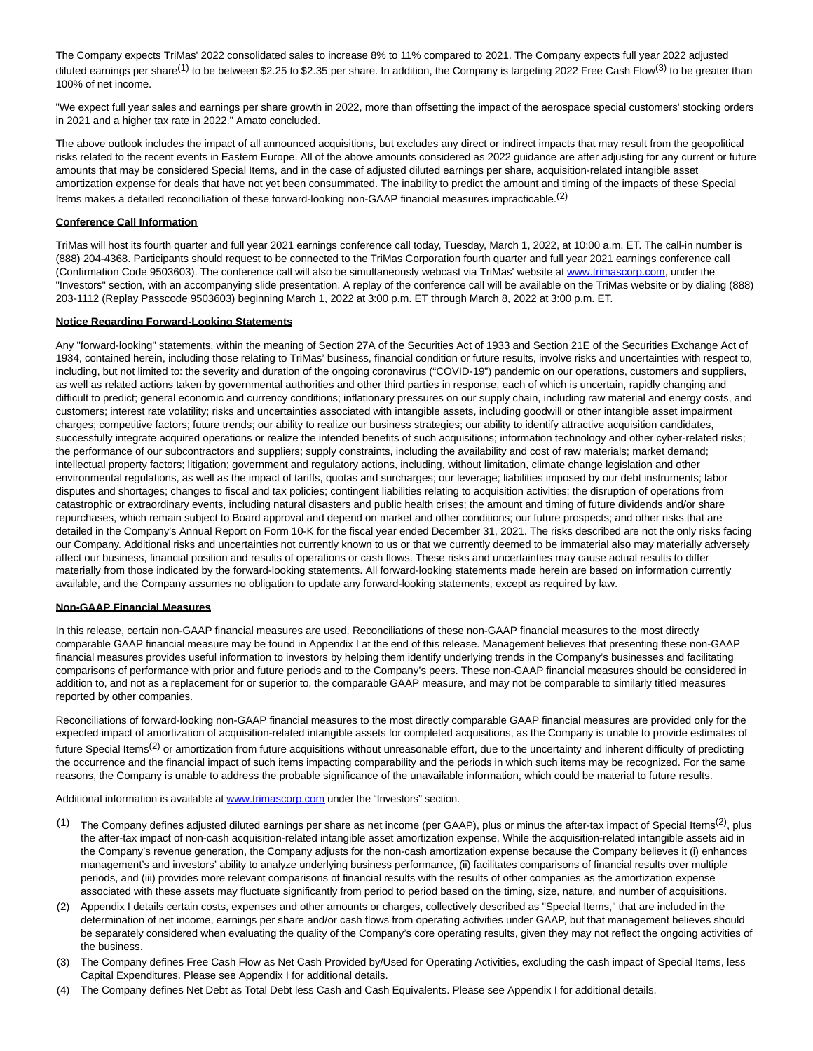The Company expects TriMas' 2022 consolidated sales to increase 8% to 11% compared to 2021. The Company expects full year 2022 adjusted diluted earnings per share<sup>(1)</sup> to be between \$2.25 to \$2.35 per share. In addition, the Company is targeting 2022 Free Cash Flow<sup>(3)</sup> to be greater than 100% of net income.

"We expect full year sales and earnings per share growth in 2022, more than offsetting the impact of the aerospace special customers' stocking orders in 2021 and a higher tax rate in 2022." Amato concluded.

The above outlook includes the impact of all announced acquisitions, but excludes any direct or indirect impacts that may result from the geopolitical risks related to the recent events in Eastern Europe. All of the above amounts considered as 2022 guidance are after adjusting for any current or future amounts that may be considered Special Items, and in the case of adjusted diluted earnings per share, acquisition-related intangible asset amortization expense for deals that have not yet been consummated. The inability to predict the amount and timing of the impacts of these Special Items makes a detailed reconciliation of these forward-looking non-GAAP financial measures impracticable.<sup>(2)</sup>

#### **Conference Call Information**

TriMas will host its fourth quarter and full year 2021 earnings conference call today, Tuesday, March 1, 2022, at 10:00 a.m. ET. The call-in number is (888) 204-4368. Participants should request to be connected to the TriMas Corporation fourth quarter and full year 2021 earnings conference call (Confirmation Code 9503603). The conference call will also be simultaneously webcast via TriMas' website a[t www.trimascorp.com,](https://cts.businesswire.com/ct/CT?id=smartlink&url=http%3A%2F%2Fwww.trimascorp.com&esheet=52587075&newsitemid=20220301005394&lan=en-US&anchor=www.trimascorp.com&index=1&md5=6dadce2809e43e908f120522d08f3012) under the "Investors" section, with an accompanying slide presentation. A replay of the conference call will be available on the TriMas website or by dialing (888) 203-1112 (Replay Passcode 9503603) beginning March 1, 2022 at 3:00 p.m. ET through March 8, 2022 at 3:00 p.m. ET.

#### **Notice Regarding Forward-Looking Statements**

Any "forward-looking" statements, within the meaning of Section 27A of the Securities Act of 1933 and Section 21E of the Securities Exchange Act of 1934, contained herein, including those relating to TriMas' business, financial condition or future results, involve risks and uncertainties with respect to, including, but not limited to: the severity and duration of the ongoing coronavirus ("COVID-19") pandemic on our operations, customers and suppliers, as well as related actions taken by governmental authorities and other third parties in response, each of which is uncertain, rapidly changing and difficult to predict; general economic and currency conditions; inflationary pressures on our supply chain, including raw material and energy costs, and customers; interest rate volatility; risks and uncertainties associated with intangible assets, including goodwill or other intangible asset impairment charges; competitive factors; future trends; our ability to realize our business strategies; our ability to identify attractive acquisition candidates, successfully integrate acquired operations or realize the intended benefits of such acquisitions; information technology and other cyber-related risks; the performance of our subcontractors and suppliers; supply constraints, including the availability and cost of raw materials; market demand; intellectual property factors; litigation; government and regulatory actions, including, without limitation, climate change legislation and other environmental regulations, as well as the impact of tariffs, quotas and surcharges; our leverage; liabilities imposed by our debt instruments; labor disputes and shortages; changes to fiscal and tax policies; contingent liabilities relating to acquisition activities; the disruption of operations from catastrophic or extraordinary events, including natural disasters and public health crises; the amount and timing of future dividends and/or share repurchases, which remain subject to Board approval and depend on market and other conditions; our future prospects; and other risks that are detailed in the Company's Annual Report on Form 10-K for the fiscal year ended December 31, 2021. The risks described are not the only risks facing our Company. Additional risks and uncertainties not currently known to us or that we currently deemed to be immaterial also may materially adversely affect our business, financial position and results of operations or cash flows. These risks and uncertainties may cause actual results to differ materially from those indicated by the forward-looking statements. All forward-looking statements made herein are based on information currently available, and the Company assumes no obligation to update any forward-looking statements, except as required by law.

#### **Non-GAAP Financial Measures**

In this release, certain non-GAAP financial measures are used. Reconciliations of these non-GAAP financial measures to the most directly comparable GAAP financial measure may be found in Appendix I at the end of this release. Management believes that presenting these non-GAAP financial measures provides useful information to investors by helping them identify underlying trends in the Company's businesses and facilitating comparisons of performance with prior and future periods and to the Company's peers. These non-GAAP financial measures should be considered in addition to, and not as a replacement for or superior to, the comparable GAAP measure, and may not be comparable to similarly titled measures reported by other companies.

Reconciliations of forward-looking non-GAAP financial measures to the most directly comparable GAAP financial measures are provided only for the expected impact of amortization of acquisition-related intangible assets for completed acquisitions, as the Company is unable to provide estimates of future Special Items<sup>(2)</sup> or amortization from future acquisitions without unreasonable effort, due to the uncertainty and inherent difficulty of predicting the occurrence and the financial impact of such items impacting comparability and the periods in which such items may be recognized. For the same reasons, the Company is unable to address the probable significance of the unavailable information, which could be material to future results.

Additional information is available at [www.trimascorp.com u](https://cts.businesswire.com/ct/CT?id=smartlink&url=http%3A%2F%2Fwww.trimascorp.com&esheet=52587075&newsitemid=20220301005394&lan=en-US&anchor=www.trimascorp.com&index=2&md5=4c190557d282eede4dcfc16c44cce3bf)nder the "Investors" section.

- (1) The Company defines adjusted diluted earnings per share as net income (per GAAP), plus or minus the after-tax impact of Special Items<sup>(2)</sup>, plus the after-tax impact of non-cash acquisition-related intangible asset amortization expense. While the acquisition-related intangible assets aid in the Company's revenue generation, the Company adjusts for the non-cash amortization expense because the Company believes it (i) enhances management's and investors' ability to analyze underlying business performance, (ii) facilitates comparisons of financial results over multiple periods, and (iii) provides more relevant comparisons of financial results with the results of other companies as the amortization expense associated with these assets may fluctuate significantly from period to period based on the timing, size, nature, and number of acquisitions.
- (2) Appendix I details certain costs, expenses and other amounts or charges, collectively described as "Special Items," that are included in the determination of net income, earnings per share and/or cash flows from operating activities under GAAP, but that management believes should be separately considered when evaluating the quality of the Company's core operating results, given they may not reflect the ongoing activities of the business.
- (3) The Company defines Free Cash Flow as Net Cash Provided by/Used for Operating Activities, excluding the cash impact of Special Items, less Capital Expenditures. Please see Appendix I for additional details.
- (4) The Company defines Net Debt as Total Debt less Cash and Cash Equivalents. Please see Appendix I for additional details.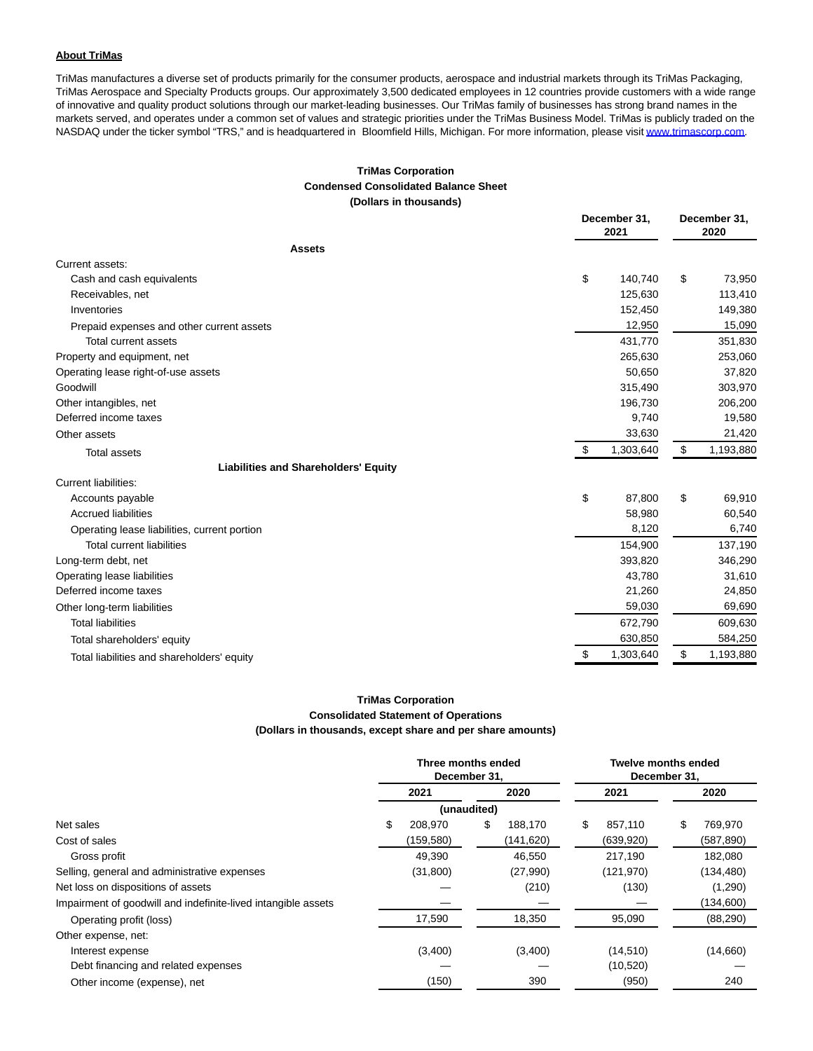#### **About TriMas**

TriMas manufactures a diverse set of products primarily for the consumer products, aerospace and industrial markets through its TriMas Packaging, TriMas Aerospace and Specialty Products groups. Our approximately 3,500 dedicated employees in 12 countries provide customers with a wide range of innovative and quality product solutions through our market-leading businesses. Our TriMas family of businesses has strong brand names in the markets served, and operates under a common set of values and strategic priorities under the TriMas Business Model. TriMas is publicly traded on the NASDAQ under the ticker symbol "TRS," and is headquartered in Bloomfield Hills, Michigan. For more information, please visi[t www.trimascorp.com.](https://cts.businesswire.com/ct/CT?id=smartlink&url=http%3A%2F%2Fwww.trimascorp.com&esheet=52587075&newsitemid=20220301005394&lan=en-US&anchor=www.trimascorp.com&index=3&md5=307688d3dfa4a5d4b6cc168b6193fdfc)

### **TriMas Corporation Condensed Consolidated Balance Sheet (Dollars in thousands)**

|                                              | December 31,<br>2021 | December 31,<br>2020 |  |
|----------------------------------------------|----------------------|----------------------|--|
| <b>Assets</b>                                |                      |                      |  |
| Current assets:                              |                      |                      |  |
| Cash and cash equivalents                    | \$<br>140,740        | \$<br>73,950         |  |
| Receivables, net                             | 125,630              | 113,410              |  |
| Inventories                                  | 152,450              | 149,380              |  |
| Prepaid expenses and other current assets    | 12,950               | 15,090               |  |
| <b>Total current assets</b>                  | 431,770              | 351,830              |  |
| Property and equipment, net                  | 265,630              | 253,060              |  |
| Operating lease right-of-use assets          | 50,650               | 37,820               |  |
| Goodwill                                     | 315,490              | 303,970              |  |
| Other intangibles, net                       | 196,730              | 206,200              |  |
| Deferred income taxes                        | 9,740                | 19,580               |  |
| Other assets                                 | 33,630               | 21,420               |  |
| <b>Total assets</b>                          | \$<br>1,303,640      | \$<br>1,193,880      |  |
| <b>Liabilities and Shareholders' Equity</b>  |                      |                      |  |
| <b>Current liabilities:</b>                  |                      |                      |  |
| Accounts payable                             | \$<br>87,800         | \$<br>69,910         |  |
| <b>Accrued liabilities</b>                   | 58,980               | 60,540               |  |
| Operating lease liabilities, current portion | 8,120                | 6,740                |  |
| <b>Total current liabilities</b>             | 154,900              | 137,190              |  |
| Long-term debt, net                          | 393,820              | 346,290              |  |
| Operating lease liabilities                  | 43,780               | 31,610               |  |
| Deferred income taxes                        | 21,260               | 24,850               |  |
| Other long-term liabilities                  | 59,030               | 69,690               |  |
| <b>Total liabilities</b>                     | 672,790              | 609,630              |  |
| Total shareholders' equity                   | 630,850              | 584,250              |  |
| Total liabilities and shareholders' equity   | \$<br>1,303,640      | \$<br>1,193,880      |  |

# **TriMas Corporation Consolidated Statement of Operations (Dollars in thousands, except share and per share amounts)**

|                                                               |      | Three months ended<br>December 31. |      |            | <b>Twelve months ended</b><br>December 31, |            |    |            |
|---------------------------------------------------------------|------|------------------------------------|------|------------|--------------------------------------------|------------|----|------------|
|                                                               | 2021 |                                    | 2020 |            | 2021                                       |            |    | 2020       |
|                                                               |      | (unaudited)                        |      |            |                                            |            |    |            |
| Net sales                                                     | \$   | 208.970                            | \$   | 188.170    | \$                                         | 857.110    | \$ | 769,970    |
| Cost of sales                                                 |      | (159,580)                          |      | (141, 620) |                                            | (639, 920) |    | (587, 890) |
| Gross profit                                                  |      | 49,390                             |      | 46.550     |                                            | 217,190    |    | 182.080    |
| Selling, general and administrative expenses                  |      | (31, 800)                          |      | (27,990)   |                                            | (121, 970) |    | (134, 480) |
| Net loss on dispositions of assets                            |      |                                    |      | (210)      |                                            | (130)      |    | (1,290)    |
| Impairment of goodwill and indefinite-lived intangible assets |      |                                    |      |            |                                            |            |    | (134,600)  |
| Operating profit (loss)                                       |      | 17,590                             |      | 18,350     |                                            | 95,090     |    | (88, 290)  |
| Other expense, net:                                           |      |                                    |      |            |                                            |            |    |            |
| Interest expense                                              |      | (3,400)                            |      | (3,400)    |                                            | (14, 510)  |    | (14,660)   |
| Debt financing and related expenses                           |      |                                    |      |            |                                            | (10, 520)  |    |            |
| Other income (expense), net                                   |      | (150)                              |      | 390        |                                            | (950)      |    | 240        |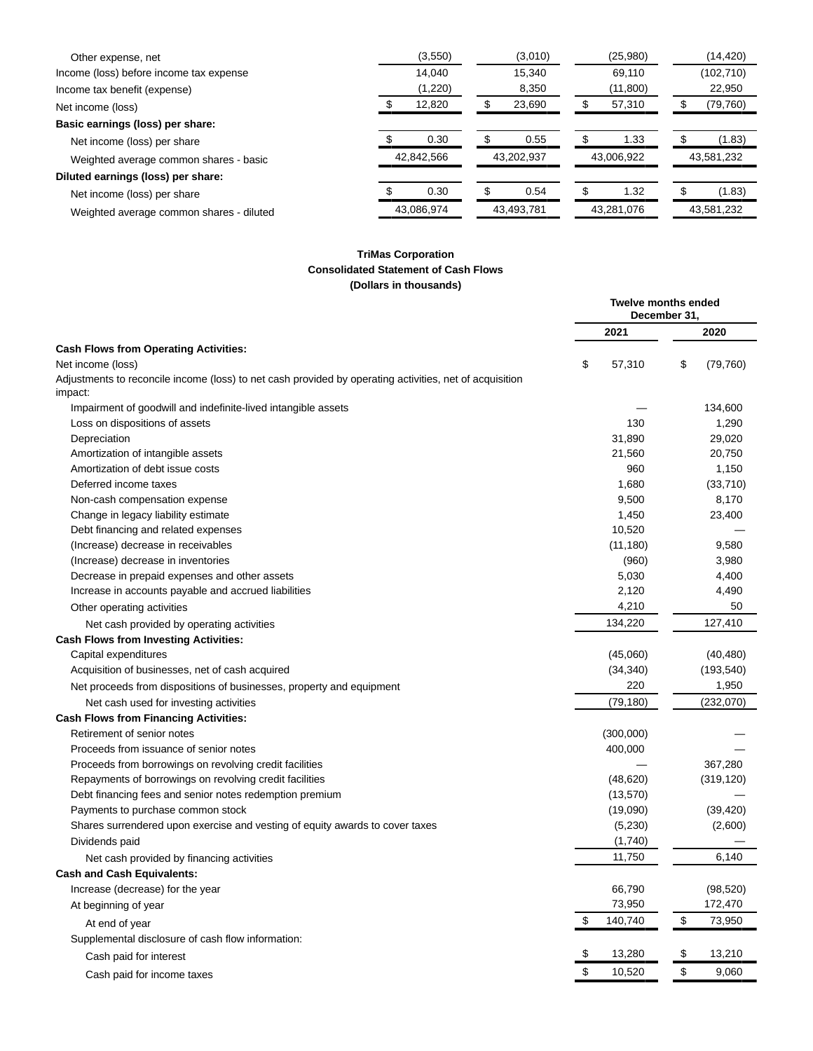| Other expense, net                       |            | (3,550)    |            | (3,010) |            | (25,980) |            | (14, 420)  |
|------------------------------------------|------------|------------|------------|---------|------------|----------|------------|------------|
| Income (loss) before income tax expense  |            | 14.040     |            | 15.340  |            | 69.110   |            | (102, 710) |
| Income tax benefit (expense)             |            | (1,220)    |            | 8,350   |            | (11,800) |            | 22,950     |
| Net income (loss)                        |            | 12,820     |            | 23,690  |            | 57,310   |            | (79, 760)  |
| Basic earnings (loss) per share:         |            |            |            |         |            |          |            |            |
| Net income (loss) per share              |            | 0.30       |            | 0.55    |            | 1.33     |            | (1.83)     |
| Weighted average common shares - basic   |            | 42,842,566 | 43,202,937 |         | 43,006,922 |          | 43,581,232 |            |
| Diluted earnings (loss) per share:       |            |            |            |         |            |          |            |            |
| Net income (loss) per share              |            | 0.30       |            | 0.54    |            | 1.32     |            | (1.83)     |
| Weighted average common shares - diluted | 43,086,974 |            | 43,493,781 |         | 43,281,076 |          | 43,581,232 |            |

# **TriMas Corporation Consolidated Statement of Cash Flows (Dollars in thousands)**

|                                                                                                                    | <b>Twelve months ended</b><br>December 31.<br>2021 |    |            |
|--------------------------------------------------------------------------------------------------------------------|----------------------------------------------------|----|------------|
|                                                                                                                    |                                                    |    | 2020       |
| <b>Cash Flows from Operating Activities:</b><br>Net income (loss)                                                  | \$<br>57,310                                       | \$ | (79, 760)  |
| Adjustments to reconcile income (loss) to net cash provided by operating activities, net of acquisition<br>impact: |                                                    |    |            |
| Impairment of goodwill and indefinite-lived intangible assets                                                      |                                                    |    | 134,600    |
| Loss on dispositions of assets                                                                                     | 130                                                |    | 1,290      |
| Depreciation                                                                                                       | 31,890                                             |    | 29,020     |
| Amortization of intangible assets                                                                                  | 21,560                                             |    | 20,750     |
| Amortization of debt issue costs                                                                                   | 960                                                |    | 1,150      |
| Deferred income taxes                                                                                              | 1,680                                              |    | (33,710)   |
| Non-cash compensation expense                                                                                      | 9,500                                              |    | 8,170      |
| Change in legacy liability estimate                                                                                | 1,450                                              |    | 23,400     |
| Debt financing and related expenses                                                                                | 10,520                                             |    |            |
| (Increase) decrease in receivables                                                                                 | (11, 180)                                          |    | 9,580      |
| (Increase) decrease in inventories                                                                                 | (960)                                              |    | 3,980      |
| Decrease in prepaid expenses and other assets                                                                      | 5,030                                              |    | 4,400      |
| Increase in accounts payable and accrued liabilities                                                               | 2,120                                              |    | 4,490      |
| Other operating activities                                                                                         | 4,210                                              |    | 50         |
| Net cash provided by operating activities                                                                          | 134,220                                            |    | 127,410    |
| <b>Cash Flows from Investing Activities:</b>                                                                       |                                                    |    |            |
| Capital expenditures                                                                                               | (45,060)                                           |    | (40, 480)  |
| Acquisition of businesses, net of cash acquired                                                                    | (34, 340)                                          |    | (193, 540) |
| Net proceeds from dispositions of businesses, property and equipment                                               | 220                                                |    | 1,950      |
| Net cash used for investing activities                                                                             | (79, 180)                                          |    | (232,070)  |
| <b>Cash Flows from Financing Activities:</b>                                                                       |                                                    |    |            |
| Retirement of senior notes                                                                                         | (300,000)                                          |    |            |
| Proceeds from issuance of senior notes                                                                             | 400,000                                            |    |            |
| Proceeds from borrowings on revolving credit facilities                                                            |                                                    |    | 367,280    |
| Repayments of borrowings on revolving credit facilities                                                            | (48, 620)                                          |    | (319, 120) |
| Debt financing fees and senior notes redemption premium                                                            | (13,570)                                           |    |            |
| Payments to purchase common stock                                                                                  | (19,090)                                           |    | (39, 420)  |
| Shares surrendered upon exercise and vesting of equity awards to cover taxes                                       | (5,230)                                            |    | (2,600)    |
| Dividends paid                                                                                                     | (1,740)                                            |    |            |
| Net cash provided by financing activities                                                                          | 11,750                                             |    | 6,140      |
| <b>Cash and Cash Equivalents:</b>                                                                                  |                                                    |    |            |
| Increase (decrease) for the year                                                                                   | 66,790                                             |    | (98, 520)  |
| At beginning of year                                                                                               | 73,950                                             |    | 172,470    |
| At end of year                                                                                                     | \$<br>140,740                                      | \$ | 73,950     |
| Supplemental disclosure of cash flow information:                                                                  |                                                    |    |            |
| Cash paid for interest                                                                                             | \$<br>13,280                                       | \$ | 13,210     |
| Cash paid for income taxes                                                                                         | \$<br>10,520                                       | \$ | 9,060      |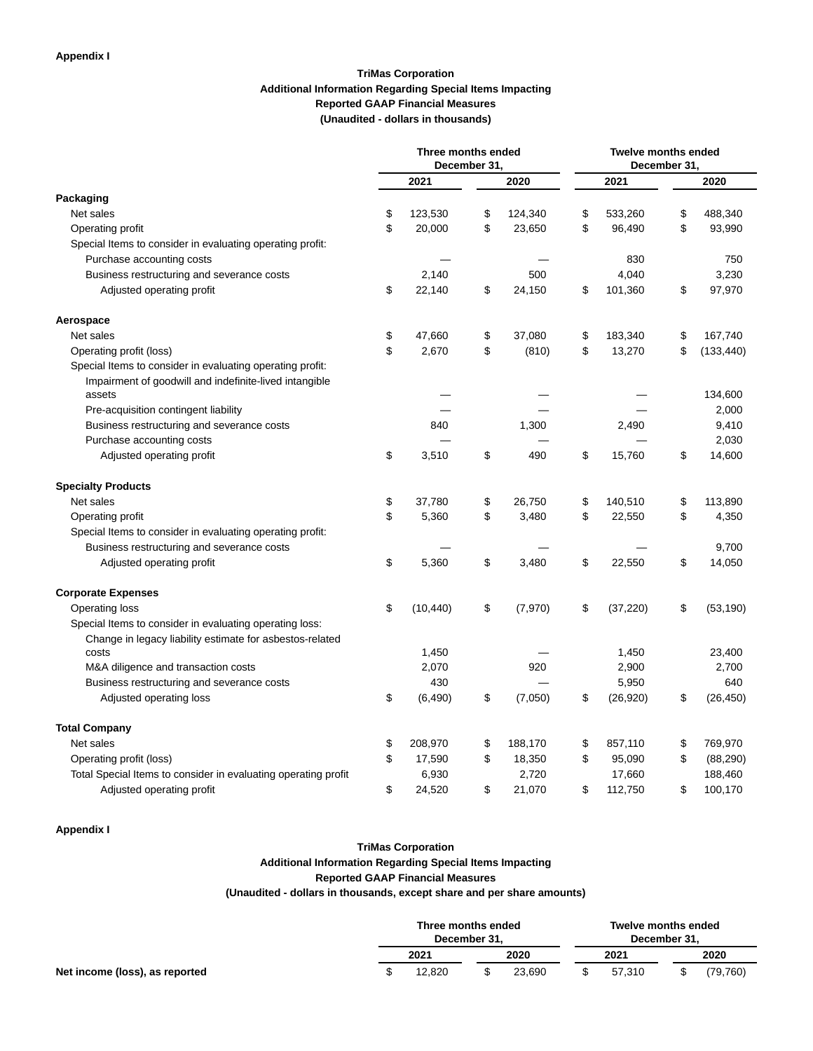# **TriMas Corporation Additional Information Regarding Special Items Impacting Reported GAAP Financial Measures (Unaudited - dollars in thousands)**

|                                                                | Three months ended<br>December 31, |    |         |    | <b>Twelve months ended</b><br>December 31. |    |            |
|----------------------------------------------------------------|------------------------------------|----|---------|----|--------------------------------------------|----|------------|
|                                                                | 2021                               |    | 2020    |    | 2021                                       |    | 2020       |
| Packaging                                                      |                                    |    |         |    |                                            |    |            |
| Net sales                                                      | \$<br>123,530                      | \$ | 124,340 | \$ | 533,260                                    | \$ | 488,340    |
| Operating profit                                               | \$<br>20,000                       | \$ | 23,650  | \$ | 96,490                                     | \$ | 93,990     |
| Special Items to consider in evaluating operating profit:      |                                    |    |         |    |                                            |    |            |
| Purchase accounting costs                                      |                                    |    |         |    | 830                                        |    | 750        |
| Business restructuring and severance costs                     | 2,140                              |    | 500     |    | 4,040                                      |    | 3,230      |
| Adjusted operating profit                                      | \$<br>22,140                       | \$ | 24,150  | \$ | 101,360                                    | \$ | 97,970     |
| Aerospace                                                      |                                    |    |         |    |                                            |    |            |
| Net sales                                                      | \$<br>47,660                       | \$ | 37,080  | \$ | 183,340                                    | \$ | 167,740    |
| Operating profit (loss)                                        | \$<br>2,670                        | \$ | (810)   | \$ | 13,270                                     | \$ | (133, 440) |
| Special Items to consider in evaluating operating profit:      |                                    |    |         |    |                                            |    |            |
| Impairment of goodwill and indefinite-lived intangible         |                                    |    |         |    |                                            |    |            |
| assets                                                         |                                    |    |         |    |                                            |    | 134,600    |
| Pre-acquisition contingent liability                           |                                    |    |         |    |                                            |    | 2,000      |
| Business restructuring and severance costs                     | 840                                |    | 1,300   |    | 2,490                                      |    | 9,410      |
| Purchase accounting costs                                      |                                    |    |         |    |                                            |    | 2,030      |
| Adjusted operating profit                                      | \$<br>3,510                        | \$ | 490     | \$ | 15,760                                     | \$ | 14,600     |
| <b>Specialty Products</b>                                      |                                    |    |         |    |                                            |    |            |
| Net sales                                                      | \$<br>37,780                       | \$ | 26,750  | \$ | 140,510                                    | \$ | 113,890    |
| Operating profit                                               | \$<br>5,360                        | \$ | 3,480   | \$ | 22,550                                     | \$ | 4,350      |
| Special Items to consider in evaluating operating profit:      |                                    |    |         |    |                                            |    |            |
| Business restructuring and severance costs                     |                                    |    |         |    |                                            |    | 9,700      |
| Adjusted operating profit                                      | \$<br>5,360                        | \$ | 3,480   | \$ | 22,550                                     | \$ | 14,050     |
| <b>Corporate Expenses</b>                                      |                                    |    |         |    |                                            |    |            |
| Operating loss                                                 | \$<br>(10, 440)                    | \$ | (7,970) | \$ | (37, 220)                                  | \$ | (53, 190)  |
| Special Items to consider in evaluating operating loss:        |                                    |    |         |    |                                            |    |            |
| Change in legacy liability estimate for asbestos-related       |                                    |    |         |    |                                            |    |            |
| costs                                                          | 1,450                              |    |         |    | 1,450                                      |    | 23,400     |
| M&A diligence and transaction costs                            | 2,070                              |    | 920     |    | 2,900                                      |    | 2,700      |
| Business restructuring and severance costs                     | 430                                |    |         |    | 5,950                                      |    | 640        |
| Adjusted operating loss                                        | \$<br>(6, 490)                     | \$ | (7,050) | \$ | (26, 920)                                  | \$ | (26, 450)  |
| <b>Total Company</b>                                           |                                    |    |         |    |                                            |    |            |
| Net sales                                                      | \$<br>208,970                      | \$ | 188,170 | \$ | 857,110                                    | \$ | 769,970    |
| Operating profit (loss)                                        | \$<br>17,590                       | \$ | 18,350  | \$ | 95,090                                     | \$ | (88, 290)  |
| Total Special Items to consider in evaluating operating profit | 6,930                              |    | 2,720   |    | 17,660                                     |    | 188,460    |
| Adjusted operating profit                                      | \$<br>24,520                       | \$ | 21,070  | \$ | 112,750                                    | \$ | 100,170    |

### **Appendix I**

# **TriMas Corporation Additional Information Regarding Special Items Impacting Reported GAAP Financial Measures (Unaudited - dollars in thousands, except share and per share amounts)**

|                                | Three months ended<br>December 31, |        |  | <b>Twelve months ended</b><br>December 31. |        |  |          |
|--------------------------------|------------------------------------|--------|--|--------------------------------------------|--------|--|----------|
|                                |                                    | 2021   |  | 2020                                       | 2021   |  | 2020     |
| Net income (loss), as reported |                                    | 12.820 |  | 23.690                                     | 57.310 |  | (79.760) |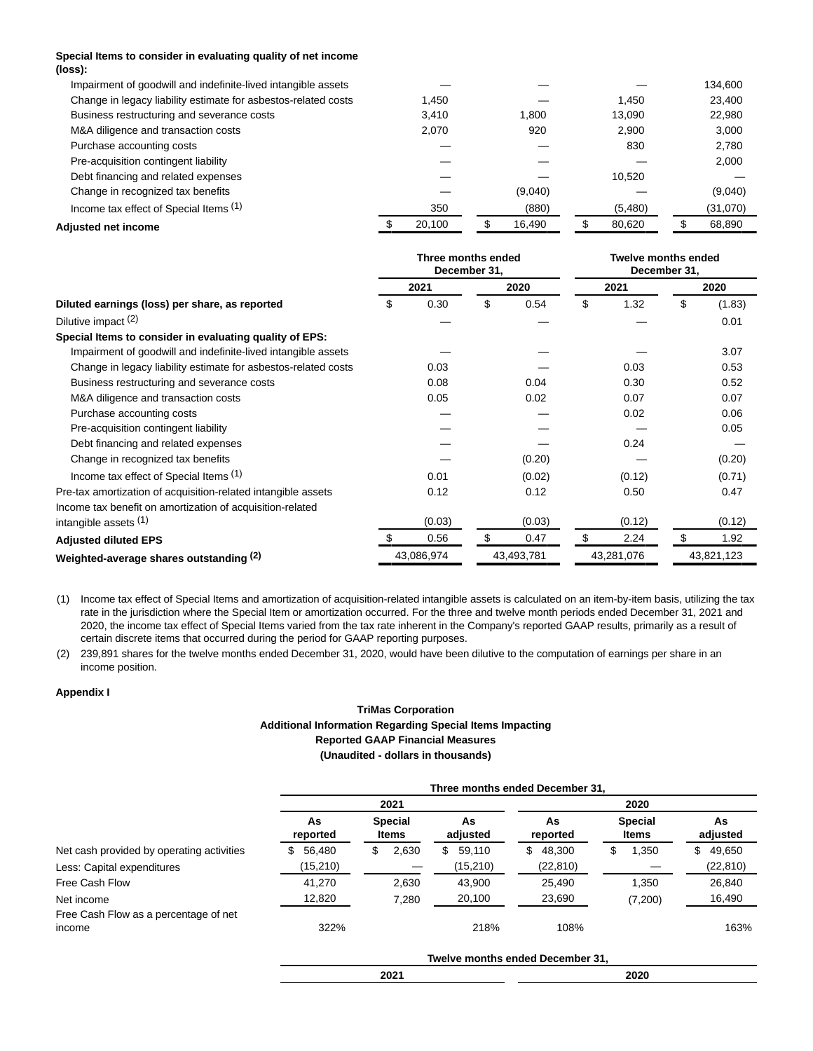### **Special Items to consider in evaluating quality of net income (loss):**

| Impairment of goodwill and indefinite-lived intangible assets  |        |         |         | 134,600  |
|----------------------------------------------------------------|--------|---------|---------|----------|
| Change in legacy liability estimate for asbestos-related costs | 1.450  |         | 1.450   | 23,400   |
| Business restructuring and severance costs                     | 3.410  | 1.800   | 13.090  | 22,980   |
| M&A diligence and transaction costs                            | 2.070  | 920     | 2.900   | 3.000    |
| Purchase accounting costs                                      |        |         | 830     | 2,780    |
| Pre-acquisition contingent liability                           |        |         |         | 2,000    |
| Debt financing and related expenses                            |        |         | 10.520  |          |
| Change in recognized tax benefits                              |        | (9,040) |         | (9,040)  |
| Income tax effect of Special Items (1)                         | 350    | (880)   | (5,480) | (31,070) |
| Adiusted net income                                            | 20.100 | 16.490  | 80,620  | 68,890   |

|                                                                | Three months ended<br>December 31, |            |    | <b>Twelve months ended</b><br>December 31, |    |            |    |            |
|----------------------------------------------------------------|------------------------------------|------------|----|--------------------------------------------|----|------------|----|------------|
|                                                                |                                    | 2021       |    | 2020                                       |    | 2021       |    | 2020       |
| Diluted earnings (loss) per share, as reported                 | \$                                 | 0.30       | \$ | 0.54                                       | \$ | 1.32       | \$ | (1.83)     |
| Dilutive impact (2)                                            |                                    |            |    |                                            |    |            |    | 0.01       |
| Special Items to consider in evaluating quality of EPS:        |                                    |            |    |                                            |    |            |    |            |
| Impairment of goodwill and indefinite-lived intangible assets  |                                    |            |    |                                            |    |            |    | 3.07       |
| Change in legacy liability estimate for asbestos-related costs |                                    | 0.03       |    |                                            |    | 0.03       |    | 0.53       |
| Business restructuring and severance costs                     |                                    | 0.08       |    | 0.04                                       |    | 0.30       |    | 0.52       |
| M&A diligence and transaction costs                            |                                    | 0.05       |    | 0.02                                       |    | 0.07       |    | 0.07       |
| Purchase accounting costs                                      |                                    |            |    |                                            |    | 0.02       |    | 0.06       |
| Pre-acquisition contingent liability                           |                                    |            |    |                                            |    |            |    | 0.05       |
| Debt financing and related expenses                            |                                    |            |    |                                            |    | 0.24       |    |            |
| Change in recognized tax benefits                              |                                    |            |    | (0.20)                                     |    |            |    | (0.20)     |
| Income tax effect of Special Items (1)                         |                                    | 0.01       |    | (0.02)                                     |    | (0.12)     |    | (0.71)     |
| Pre-tax amortization of acquisition-related intangible assets  |                                    | 0.12       |    | 0.12                                       |    | 0.50       |    | 0.47       |
| Income tax benefit on amortization of acquisition-related      |                                    |            |    |                                            |    |            |    |            |
| intangible assets $(1)$                                        |                                    | (0.03)     |    | (0.03)                                     |    | (0.12)     |    | (0.12)     |
| <b>Adjusted diluted EPS</b>                                    |                                    | 0.56       | \$ | 0.47                                       | \$ | 2.24       |    | 1.92       |
| Weighted-average shares outstanding (2)                        |                                    | 43,086,974 |    | 43,493,781                                 |    | 43,281,076 |    | 43,821,123 |

(1) Income tax effect of Special Items and amortization of acquisition-related intangible assets is calculated on an item-by-item basis, utilizing the tax rate in the jurisdiction where the Special Item or amortization occurred. For the three and twelve month periods ended December 31, 2021 and 2020, the income tax effect of Special Items varied from the tax rate inherent in the Company's reported GAAP results, primarily as a result of certain discrete items that occurred during the period for GAAP reporting purposes.

(2) 239,891 shares for the twelve months ended December 31, 2020, would have been dilutive to the computation of earnings per share in an income position.

### **Appendix I**

# **TriMas Corporation Additional Information Regarding Special Items Impacting Reported GAAP Financial Measures (Unaudited - dollars in thousands)**

|                                                 | Three months ended December 31, |                         |                |                |                         |                |  |  |  |  |  |
|-------------------------------------------------|---------------------------------|-------------------------|----------------|----------------|-------------------------|----------------|--|--|--|--|--|
|                                                 |                                 | 2021                    |                | 2020           |                         |                |  |  |  |  |  |
|                                                 | As<br>reported                  | <b>Special</b><br>Items | As<br>adjusted | As<br>reported | <b>Special</b><br>Items | As<br>adjusted |  |  |  |  |  |
| Net cash provided by operating activities       | 56,480<br>S.                    | 2.630<br>\$.            | 59,110<br>\$   | 48,300<br>\$   | 1,350                   | 49,650<br>\$.  |  |  |  |  |  |
| Less: Capital expenditures                      | (15,210)                        |                         | (15, 210)      | (22, 810)      |                         | (22, 810)      |  |  |  |  |  |
| Free Cash Flow                                  | 41.270                          | 2.630                   | 43.900         | 25.490         | 1.350                   | 26,840         |  |  |  |  |  |
| Net income                                      | 12,820                          | 7,280                   | 20,100         | 23,690         | (7,200)                 | 16,490         |  |  |  |  |  |
| Free Cash Flow as a percentage of net<br>income | 322%                            |                         | 218%           | 108%           |                         | 163%           |  |  |  |  |  |

**Twelve months ended December 31,**

**2021 2020**